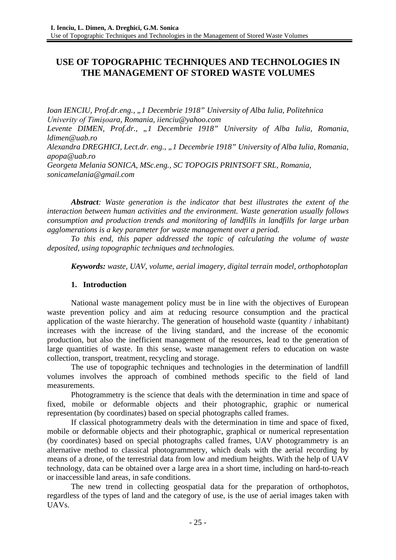# **USE OF TOPOGRAPHIC TECHNIQUES AND TECHNOLOGIES IN THE MANAGEMENT OF STORED WASTE VOLUMES**

*Ioan IENCIU, Prof.dr.eng., "1 Decembrie 1918" University of Alba Iulia, Politehnica Univerity of Timișoara, Romania, iienciu@yahoo.com Levente DIMEN, Prof.dr., "1 Decembrie 1918" University of Alba Iulia, Romania, ldimen@uab.ro Alexandra DREGHICI, Lect.dr. eng., "1 Decembrie 1918" University of Alba Iulia, Romania, apopa@uab.ro Georgeta Melania SONICA, MSc.eng., SC TOPOGIS PRINTSOFT SRL, Romania, sonicamelania@gmail.com*

*Abstract: Waste generation is the indicator that best illustrates the extent of the interaction between human activities and the environment. Waste generation usually follows consumption and production trends and monitoring of landfills in landfills for large urban agglomerations is a key parameter for waste management over a period.*

*To this end, this paper addressed the topic of calculating the volume of waste deposited, using topographic techniques and technologies.*

*Keywords: waste, UAV, volume, aerial imagery, digital terrain model, orthophotoplan*

## **1. Introduction**

National waste management policy must be in line with the objectives of European waste prevention policy and aim at reducing resource consumption and the practical application of the waste hierarchy. The generation of household waste (quantity / inhabitant) increases with the increase of the living standard, and the increase of the economic production, but also the inefficient management of the resources, lead to the generation of large quantities of waste. In this sense, waste management refers to education on waste collection, transport, treatment, recycling and storage.

The use of topographic techniques and technologies in the determination of landfill volumes involves the approach of combined methods specific to the field of land measurements.

Photogrammetry is the science that deals with the determination in time and space of fixed, mobile or deformable objects and their photographic, graphic or numerical representation (by coordinates) based on special photographs called frames.

If classical photogrammetry deals with the determination in time and space of fixed, mobile or deformable objects and their photographic, graphical or numerical representation (by coordinates) based on special photographs called frames, UAV photogrammetry is an alternative method to classical photogrammetry, which deals with the aerial recording by means of a drone, of the terrestrial data from low and medium heights. With the help of UAV technology, data can be obtained over a large area in a short time, including on hard-to-reach or inaccessible land areas, in safe conditions.

The new trend in collecting geospatial data for the preparation of orthophotos, regardless of the types of land and the category of use, is the use of aerial images taken with UAVs.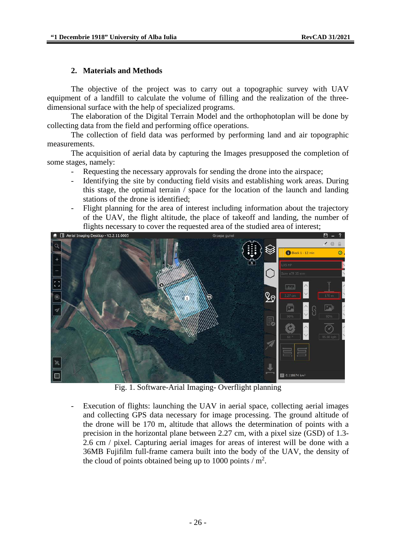### **2. Materials and Methods**

The objective of the project was to carry out a topographic survey with UAV equipment of a landfill to calculate the volume of filling and the realization of the threedimensional surface with the help of specialized programs.

The elaboration of the Digital Terrain Model and the orthophotoplan will be done by collecting data from the field and performing office operations.

The collection of field data was performed by performing land and air topographic measurements.

The acquisition of aerial data by capturing the Images presupposed the completion of some stages, namely:

- Requesting the necessary approvals for sending the drone into the airspace;
- Identifying the site by conducting field visits and establishing work areas. During this stage, the optimal terrain / space for the location of the launch and landing stations of the drone is identified;
- Flight planning for the area of interest including information about the trajectory of the UAV, the flight altitude, the place of takeoff and landing, the number of flights necessary to cover the requested area of the studied area of interest;<br>  $\overline{f}$   $\overline{f}$   $\overline{f}$   $\overline{f}$   $\overline{f}$   $\overline{f}$   $\overline{f}$   $\overline{f}$   $\overline{f}$   $\overline{f}$   $\overline{f}$   $\overline{f}$   $\overline{f}$   $\overline{f}$   $\overline{f}$   $\overline{f$



Fig. 1. Software-Arial Imaging- Overflight planning

- Execution of flights: launching the UAV in aerial space, collecting aerial images and collecting GPS data necessary for image processing. The ground altitude of the drone will be 170 m, altitude that allows the determination of points with a precision in the horizontal plane between 2.27 cm, with a pixel size (GSD) of 1.3- 2.6 cm / pixel. Capturing aerial images for areas of interest will be done with a 36MB Fujifilm full-frame camera built into the body of the UAV, the density of the cloud of points obtained being up to 1000 points  $/m<sup>2</sup>$ .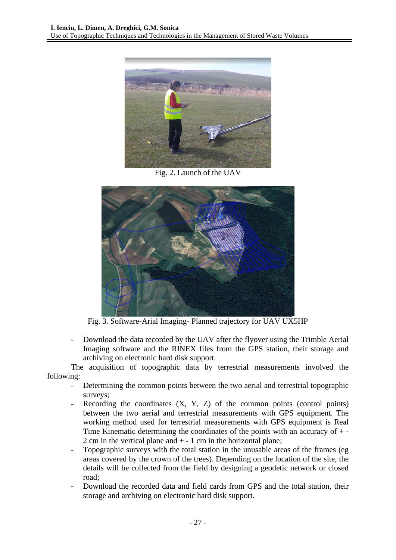

Fig. 2. Launch of the UAV



Fig. 3. Software-Arial Imaging- Planned trajectory for UAV UX5HP

- Download the data recorded by the UAV after the flyover using the Trimble Aerial Imaging software and the RINEX files from the GPS station, their storage and archiving on electronic hard disk support.

The acquisition of topographic data by terrestrial measurements involved the following:

- Determining the common points between the two aerial and terrestrial topographic surveys;
- Recording the coordinates  $(X, Y, Z)$  of the common points (control points) between the two aerial and terrestrial measurements with GPS equipment. The working method used for terrestrial measurements with GPS equipment is Real Time Kinematic determining the coordinates of the points with an accuracy of + - 2 cm in the vertical plane and  $+ - 1$  cm in the horizontal plane;
- Topographic surveys with the total station in the unusable areas of the frames (eg areas covered by the crown of the trees). Depending on the location of the site, the details will be collected from the field by designing a geodetic network or closed road;
- Download the recorded data and field cards from GPS and the total station, their storage and archiving on electronic hard disk support.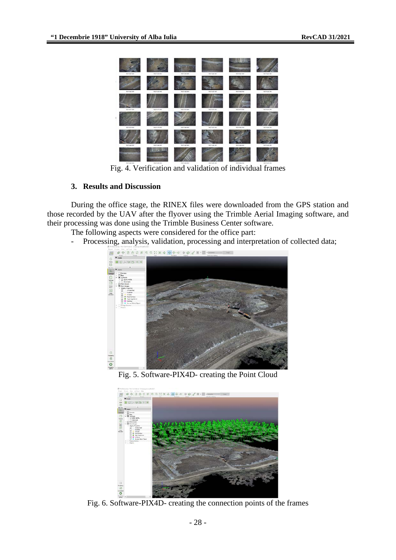

Fig. 4. Verification and validation of individual frames

# **3. Results and Discussion**

During the office stage, the RINEX files were downloaded from the GPS station and those recorded by the UAV after the flyover using the Trimble Aerial Imaging software, and their processing was done using the Trimble Business Center software.

- The following aspects were considered for the office part:
- Processing, analysis, validation, processing and interpretation of collected data;



Fig. 5. Software-PIX4D- creating the Point Cloud



Fig. 6. Software-PIX4D- creating the connection points of the frames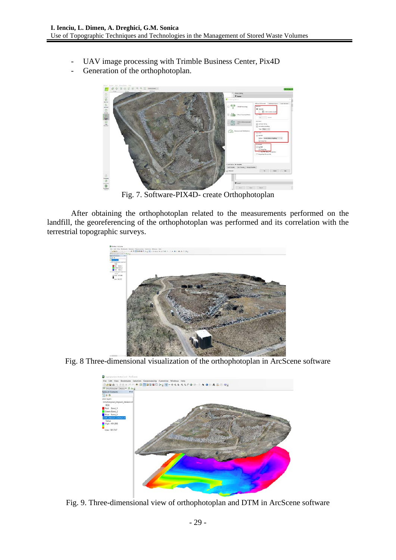- UAV image processing with Trimble Business Center, Pix4D
- Generation of the orthophotoplan.



Fig. 7. Software-PIX4D- create Orthophotoplan

After obtaining the orthophotoplan related to the measurements performed on the landfill, the georeferencing of the orthophotoplan was performed and its correlation with the terrestrial topographic surveys.



Fig. 8 Three-dimensional visualization of the orthophotoplan in ArcScene software



Fig. 9. Three-dimensional view of orthophotoplan and DTM in ArcScene software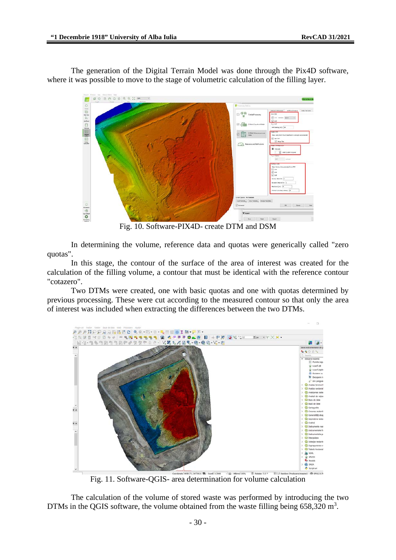The generation of the Digital Terrain Model was done through the Pix4D software, where it was possible to move to the stage of volumetric calculation of the filling layer.



Fig. 10. Software-PIX4D- create DTM and DSM

In determining the volume, reference data and quotas were generically called "zero quotas".

In this stage, the contour of the surface of the area of interest was created for the calculation of the filling volume, a contour that must be identical with the reference contour "cotazero".

Two DTMs were created, one with basic quotas and one with quotas determined by previous processing. These were cut according to the measured contour so that only the area of interest was included when extracting the differences between the two DTMs.



Fig. 11. Software-QGIS- area determination for volume calculation

The calculation of the volume of stored waste was performed by introducing the two DTMs in the QGIS software, the volume obtained from the waste filling being  $658,320 \text{ m}^3$ .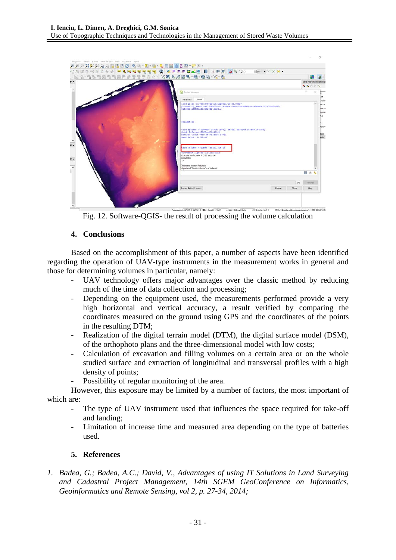

Fig. 12. Software-QGIS- the result of processing the volume calculation

### **4. Conclusions**

Based on the accomplishment of this paper, a number of aspects have been identified regarding the operation of UAV-type instruments in the measurement works in general and those for determining volumes in particular, namely:

- UAV technology offers major advantages over the classic method by reducing much of the time of data collection and processing;
- Depending on the equipment used, the measurements performed provide a very high horizontal and vertical accuracy, a result verified by comparing the coordinates measured on the ground using GPS and the coordinates of the points in the resulting DTM;
- Realization of the digital terrain model (DTM), the digital surface model (DSM), of the orthophoto plans and the three-dimensional model with low costs;
- Calculation of excavation and filling volumes on a certain area or on the whole studied surface and extraction of longitudinal and transversal profiles with a high density of points;
- Possibility of regular monitoring of the area.

However, this exposure may be limited by a number of factors, the most important of which are:

- The type of UAV instrument used that influences the space required for take-off and landing;
- Limitation of increase time and measured area depending on the type of batteries used.

## **5. References**

*1. Badea, G.; Badea, A.C.; David, V., [Advantages of using IT Solutions in Land Surveying](http://scholar.google.com/scholar?cluster=8980666320736582958&hl=en&oi=scholarr)  [and Cadastral Project Management,](http://scholar.google.com/scholar?cluster=8980666320736582958&hl=en&oi=scholarr) 14th SGEM GeoConference on Informatics, Geoinformatics and Remote Sensing, vol 2, p. 27-34, 2014;*